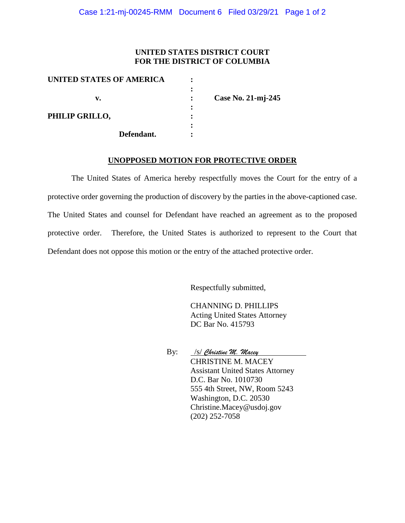### **UNITED STATES DISTRICT COURT FOR THE DISTRICT OF COLUMBIA**

| UNITED STATES OF AMERICA |   |                    |
|--------------------------|---|--------------------|
| v.                       |   | Case No. 21-mj-245 |
| PHILIP GRILLO,           |   |                    |
| Defendant.               | ٠ |                    |
|                          |   |                    |

### **UNOPPOSED MOTION FOR PROTECTIVE ORDER**

The United States of America hereby respectfully moves the Court for the entry of a protective order governing the production of discovery by the parties in the above-captioned case. The United States and counsel for Defendant have reached an agreement as to the proposed protective order. Therefore, the United States is authorized to represent to the Court that Defendant does not oppose this motion or the entry of the attached protective order.

Respectfully submitted,

CHANNING D. PHILLIPS Acting United States Attorney DC Bar No. 415793

By: /s/ *Christine M. Macey* CHRISTINE M. MACEY Assistant United States Attorney D.C. Bar No. 1010730 555 4th Street, NW, Room 5243 Washington, D.C. 20530 Christine.Macey@usdoj.gov (202) 252-7058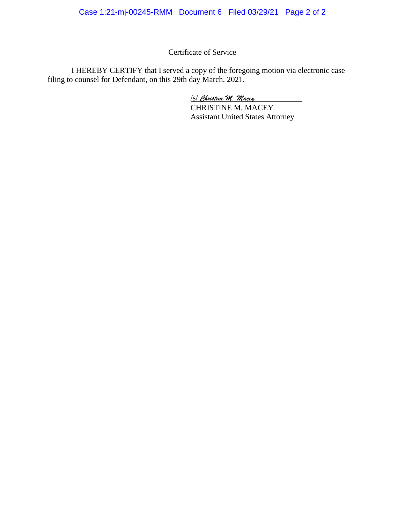# Certificate of Service

I HEREBY CERTIFY that I served a copy of the foregoing motion via electronic case filing to counsel for Defendant, on this 29th day March, 2021.

/s/ *Christine M. Macey*

CHRISTINE M. MACEY Assistant United States Attorney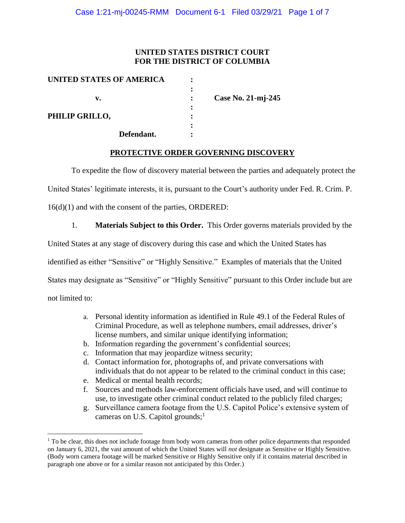### **UNITED STATES DISTRICT COURT FOR THE DISTRICT OF COLUMBIA**

| UNITED STATES OF AMERICA |            |   |                    |
|--------------------------|------------|---|--------------------|
|                          |            |   |                    |
| v.                       |            |   | Case No. 21-mj-245 |
|                          |            | : |                    |
| PHILIP GRILLO,           |            |   |                    |
|                          |            |   |                    |
|                          | Defendant. |   |                    |

#### **PROTECTIVE ORDER GOVERNING DISCOVERY**

To expedite the flow of discovery material between the parties and adequately protect the

United States' legitimate interests, it is, pursuant to the Court's authority under Fed. R. Crim. P.

16(d)(1) and with the consent of the parties, ORDERED:

1. **Materials Subject to this Order.** This Order governs materials provided by the

United States at any stage of discovery during this case and which the United States has

identified as either "Sensitive" or "Highly Sensitive." Examples of materials that the United

States may designate as "Sensitive" or "Highly Sensitive" pursuant to this Order include but are

not limited to:

 $\overline{a}$ 

- a. Personal identity information as identified in Rule 49.1 of the Federal Rules of Criminal Procedure, as well as telephone numbers, email addresses, driver's license numbers, and similar unique identifying information;
- b. Information regarding the government's confidential sources;
- c. Information that may jeopardize witness security;
- d. Contact information for, photographs of, and private conversations with individuals that do not appear to be related to the criminal conduct in this case;
- e. Medical or mental health records;
- f. Sources and methods law-enforcement officials have used, and will continue to use, to investigate other criminal conduct related to the publicly filed charges;
- g. Surveillance camera footage from the U.S. Capitol Police's extensive system of cameras on U.S. Capitol grounds;<sup>1</sup>

<sup>&</sup>lt;sup>1</sup> To be clear, this does not include footage from body worn cameras from other police departments that responded on January 6, 2021, the vast amount of which the United States will *not* designate as Sensitive or Highly Sensitive. (Body worn camera footage will be marked Sensitive or Highly Sensitive only if it contains material described in paragraph one above or for a similar reason not anticipated by this Order.)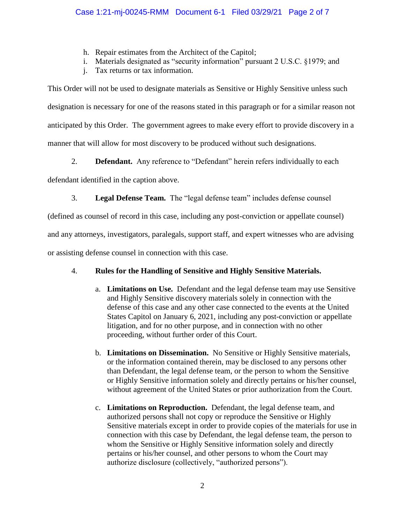- h. Repair estimates from the Architect of the Capitol;
- i. Materials designated as "security information" pursuant 2 U.S.C. §1979; and
- j. Tax returns or tax information.

This Order will not be used to designate materials as Sensitive or Highly Sensitive unless such designation is necessary for one of the reasons stated in this paragraph or for a similar reason not anticipated by this Order. The government agrees to make every effort to provide discovery in a manner that will allow for most discovery to be produced without such designations.

2. **Defendant.** Any reference to "Defendant" herein refers individually to each

defendant identified in the caption above.

3. **Legal Defense Team.** The "legal defense team" includes defense counsel

(defined as counsel of record in this case, including any post-conviction or appellate counsel)

and any attorneys, investigators, paralegals, support staff, and expert witnesses who are advising

or assisting defense counsel in connection with this case.

# 4. **Rules for the Handling of Sensitive and Highly Sensitive Materials.**

- a. **Limitations on Use.** Defendant and the legal defense team may use Sensitive and Highly Sensitive discovery materials solely in connection with the defense of this case and any other case connected to the events at the United States Capitol on January 6, 2021, including any post-conviction or appellate litigation, and for no other purpose, and in connection with no other proceeding, without further order of this Court.
- b. **Limitations on Dissemination.** No Sensitive or Highly Sensitive materials, or the information contained therein, may be disclosed to any persons other than Defendant, the legal defense team, or the person to whom the Sensitive or Highly Sensitive information solely and directly pertains or his/her counsel, without agreement of the United States or prior authorization from the Court.
- c. **Limitations on Reproduction.** Defendant, the legal defense team, and authorized persons shall not copy or reproduce the Sensitive or Highly Sensitive materials except in order to provide copies of the materials for use in connection with this case by Defendant, the legal defense team, the person to whom the Sensitive or Highly Sensitive information solely and directly pertains or his/her counsel, and other persons to whom the Court may authorize disclosure (collectively, "authorized persons").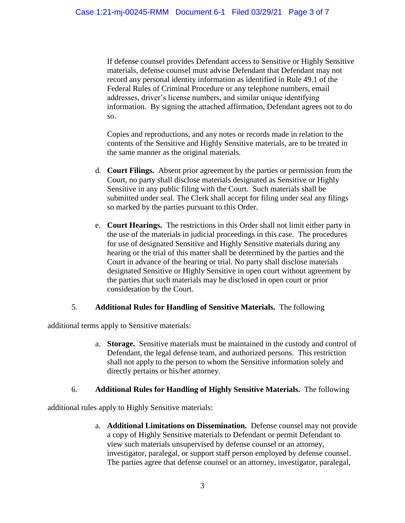If defense counsel provides Defendant access to Sensitive or Highly Sensitive materials, defense counsel must advise Defendant that Defendant may not record any personal identity information as identified in Rule 49.1 of the Federal Rules of Criminal Procedure or any telephone numbers, email addresses, driver's license numbers, and similar unique identifying information. By signing the attached affirmation, Defendant agrees not to do so.

Copies and reproductions, and any notes or records made in relation to the contents of the Sensitive and Highly Sensitive materials, are to be treated in the same manner as the original materials.

- d. **Court Filings.** Absent prior agreement by the parties or permission from the Court, no party shall disclose materials designated as Sensitive or Highly Sensitive in any public filing with the Court. Such materials shall be submitted under seal. The Clerk shall accept for filing under seal any filings so marked by the parties pursuant to this Order.
- e. **Court Hearings.** The restrictions in this Order shall not limit either party in the use of the materials in judicial proceedings in this case. The procedures for use of designated Sensitive and Highly Sensitive materials during any hearing or the trial of this matter shall be determined by the parties and the Court in advance of the hearing or trial. No party shall disclose materials designated Sensitive or Highly Sensitive in open court without agreement by the parties that such materials may be disclosed in open court or prior consideration by the Court.

#### 5. **Additional Rules for Handling of Sensitive Materials.** The following

additional terms apply to Sensitive materials:

a. **Storage.** Sensitive materials must be maintained in the custody and control of Defendant, the legal defense team, and authorized persons. This restriction shall not apply to the person to whom the Sensitive information solely and directly pertains or his/her attorney.

## 6. **Additional Rules for Handling of Highly Sensitive Materials.** The following

additional rules apply to Highly Sensitive materials:

a. **Additional Limitations on Dissemination.** Defense counsel may not provide a copy of Highly Sensitive materials to Defendant or permit Defendant to view such materials unsupervised by defense counsel or an attorney, investigator, paralegal, or support staff person employed by defense counsel. The parties agree that defense counsel or an attorney, investigator, paralegal,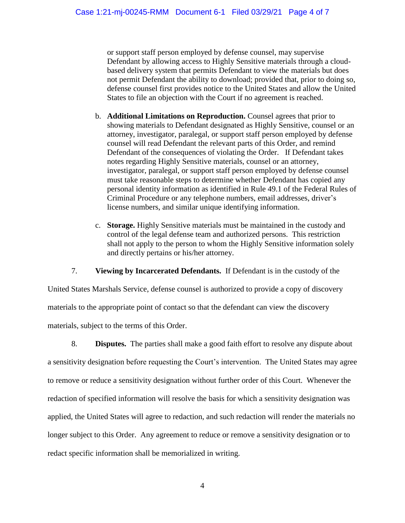or support staff person employed by defense counsel, may supervise Defendant by allowing access to Highly Sensitive materials through a cloudbased delivery system that permits Defendant to view the materials but does not permit Defendant the ability to download; provided that, prior to doing so, defense counsel first provides notice to the United States and allow the United States to file an objection with the Court if no agreement is reached.

- b. **Additional Limitations on Reproduction.** Counsel agrees that prior to showing materials to Defendant designated as Highly Sensitive, counsel or an attorney, investigator, paralegal, or support staff person employed by defense counsel will read Defendant the relevant parts of this Order, and remind Defendant of the consequences of violating the Order. If Defendant takes notes regarding Highly Sensitive materials, counsel or an attorney, investigator, paralegal, or support staff person employed by defense counsel must take reasonable steps to determine whether Defendant has copied any personal identity information as identified in Rule 49.1 of the Federal Rules of Criminal Procedure or any telephone numbers, email addresses, driver's license numbers, and similar unique identifying information.
- c. **Storage.** Highly Sensitive materials must be maintained in the custody and control of the legal defense team and authorized persons. This restriction shall not apply to the person to whom the Highly Sensitive information solely and directly pertains or his/her attorney.

7. **Viewing by Incarcerated Defendants.** If Defendant is in the custody of the

United States Marshals Service, defense counsel is authorized to provide a copy of discovery materials to the appropriate point of contact so that the defendant can view the discovery materials, subject to the terms of this Order.

8. **Disputes.** The parties shall make a good faith effort to resolve any dispute about a sensitivity designation before requesting the Court's intervention. The United States may agree to remove or reduce a sensitivity designation without further order of this Court. Whenever the redaction of specified information will resolve the basis for which a sensitivity designation was applied, the United States will agree to redaction, and such redaction will render the materials no longer subject to this Order. Any agreement to reduce or remove a sensitivity designation or to redact specific information shall be memorialized in writing.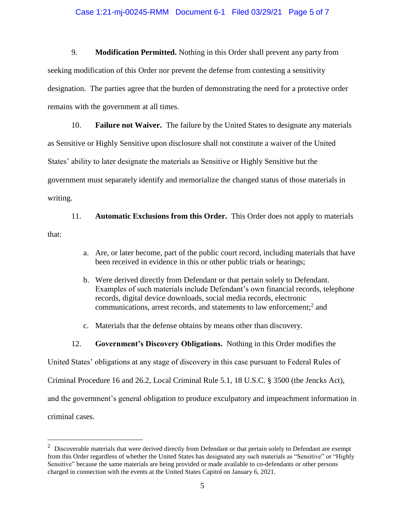#### Case 1:21-mj-00245-RMM Document 6-1 Filed 03/29/21 Page 5 of 7

9. **Modification Permitted.** Nothing in this Order shall prevent any party from seeking modification of this Order nor prevent the defense from contesting a sensitivity designation. The parties agree that the burden of demonstrating the need for a protective order remains with the government at all times.

10. **Failure not Waiver.** The failure by the United States to designate any materials as Sensitive or Highly Sensitive upon disclosure shall not constitute a waiver of the United States' ability to later designate the materials as Sensitive or Highly Sensitive but the government must separately identify and memorialize the changed status of those materials in writing.

11. **Automatic Exclusions from this Order.** This Order does not apply to materials that:

- a. Are, or later become, part of the public court record, including materials that have been received in evidence in this or other public trials or hearings;
- b. Were derived directly from Defendant or that pertain solely to Defendant. Examples of such materials include Defendant's own financial records, telephone records, digital device downloads, social media records, electronic communications, arrest records, and statements to law enforcement; 2 and
- c. Materials that the defense obtains by means other than discovery.
- 12. **Government's Discovery Obligations.** Nothing in this Order modifies the

United States' obligations at any stage of discovery in this case pursuant to Federal Rules of

Criminal Procedure 16 and 26.2, Local Criminal Rule 5.1, 18 U.S.C. § 3500 (the Jencks Act),

and the government's general obligation to produce exculpatory and impeachment information in

criminal cases.

 $\overline{a}$ 

 $2$  Discoverable materials that were derived directly from Defendant or that pertain solely to Defendant are exempt from this Order regardless of whether the United States has designated any such materials as "Sensitive" or "Highly Sensitive" because the same materials are being provided or made available to co-defendants or other persons charged in connection with the events at the United States Capitol on January 6, 2021.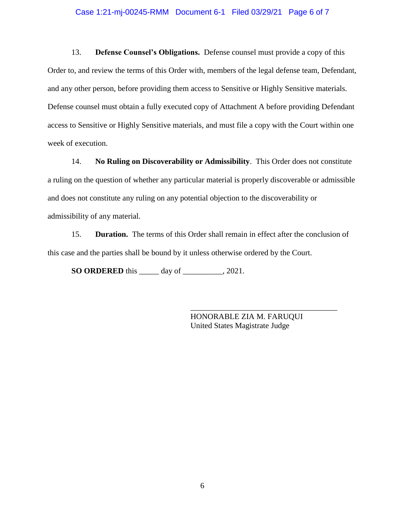#### Case 1:21-mj-00245-RMM Document 6-1 Filed 03/29/21 Page 6 of 7

13. **Defense Counsel's Obligations.** Defense counsel must provide a copy of this Order to, and review the terms of this Order with, members of the legal defense team, Defendant, and any other person, before providing them access to Sensitive or Highly Sensitive materials. Defense counsel must obtain a fully executed copy of Attachment A before providing Defendant access to Sensitive or Highly Sensitive materials, and must file a copy with the Court within one week of execution.

14. **No Ruling on Discoverability or Admissibility**. This Order does not constitute a ruling on the question of whether any particular material is properly discoverable or admissible and does not constitute any ruling on any potential objection to the discoverability or admissibility of any material.

15. **Duration.** The terms of this Order shall remain in effect after the conclusion of this case and the parties shall be bound by it unless otherwise ordered by the Court.

**SO ORDERED** this \_\_\_\_\_ day of \_\_\_\_\_\_\_\_\_\_, 2021.

HONORABLE ZIA M. FARUQUI United States Magistrate Judge

\_\_\_\_\_\_\_\_\_\_\_\_\_\_\_\_\_\_\_\_\_\_\_\_\_\_\_\_\_\_\_\_\_\_\_\_\_